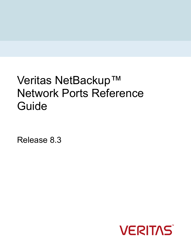# Veritas NetBackup™ Network Ports Reference Guide

Release 8.3

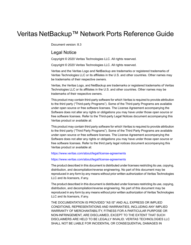## Veritas NetBackup™ Network Ports Reference Guide

Document version: 8.3

#### Legal Notice

Copyright © 2020 Veritas Technologies LLC. All rights reserved.

Copyright © 2020 Veritas Technologies LLC. All rights reserved.

Veritas and the Veritas Logo and NetBackup are trademarks or registered trademarks of Veritas Technologies LLC or its affiliates in the U.S. and other countries. Other names may be trademarks of their respective owners.

Veritas, the Veritas Logo, and NetBackup are trademarks or registered trademarks of Veritas Technologies LLC or its affiliates in the U.S. and other countries. Other names may be trademarks of their respective owners.

This product may contain third-party software for which Veritas is required to provide attribution to the third party ("Third-party Programs"). Some of the Third-party Programs are available under open source or free software licenses. The License Agreement accompanying the Software does not alter any rights or obligations you may have under those open source or free software licenses. Refer to the Third-party Legal Notices document accompanying this Veritas product or available at:

This product may contain third party software for which Veritas is required to provide attribution to the third party ("Third Party Programs"). Some of the Third Party Programs are available under open source or free software licenses. The License Agreement accompanying the Software does not alter any rights or obligations you may have under those open source or free software licenses. Refer to the third party legal notices document accompanying this Veritas product or available at:

#### <https://www.veritas.com/about/legal/license-agreements>

#### <https://www.veritas.com/about/legal/license-agreements>

The product described in this document is distributed under licenses restricting its use, copying, distribution, and decompilation/reverse engineering. No part of this document may be reproduced in any form by any means without prior written authorization of Veritas Technologies LLC and its licensors, if any.

The product described in this document is distributed under licenses restricting its use, copying, distribution, and decompilation/reverse engineering. No part of this document may be reproduced in any form by any means without prior written authorization of Veritas Technologies LLC and its licensors, if any.

THE DOCUMENTATION IS PROVIDED "AS IS" AND ALL EXPRESS OR IMPLIED CONDITIONS, REPRESENTATIONS AND WARRANTIES, INCLUDING ANY IMPLIED WARRANTY OF MERCHANTABILITY, FITNESS FOR A PARTICULAR PURPOSE OR NON-INFRINGEMENT, ARE DISCLAIMED, EXCEPT TO THE EXTENT THAT SUCH DISCLAIMERS ARE HELD TO BE LEGALLY INVALID. VERITAS TECHNOLOGIES LLC SHALL NOT BE LIABLE FOR INCIDENTAL OR CONSEQUENTIAL DAMAGES IN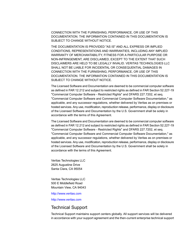CONNECTION WITH THE FURNISHING, PERFORMANCE, OR USE OF THIS DOCUMENTATION. THE INFORMATION CONTAINED IN THIS DOCUMENTATION IS SUBJECT TO CHANGE WITHOUT NOTICE.

THE DOCUMENTATION IS PROVIDED "AS IS" AND ALL EXPRESS OR IMPLIED CONDITIONS, REPRESENTATIONS AND WARRANTIES, INCLUDING ANY IMPLIED WARRANTY OF MERCHANTABILITY, FITNESS FOR A PARTICULAR PURPOSE OR NON-INFRINGEMENT, ARE DISCLAIMED, EXCEPT TO THE EXTENT THAT SUCH DISCLAIMERS ARE HELD TO BE LEGALLY INVALID. VERITAS TECHNOLOGIES LLC SHALL NOT BE LIABLE FOR INCIDENTAL OR CONSEQUENTIAL DAMAGES IN CONNECTION WITH THE FURNISHING, PERFORMANCE, OR USE OF THIS DOCUMENTATION. THE INFORMATION CONTAINED IN THIS DOCUMENTATION IS SUBJECT TO CHANGE WITHOUT NOTICE.

The Licensed Software and Documentation are deemed to be commercial computer software as defined in FAR 12.212 and subject to restricted rights as defined in FAR Section 52.227-19 "Commercial Computer Software - Restricted Rights" and DFARS 227.7202, et seq. "Commercial Computer Software and Commercial Computer Software Documentation," as applicable, and any successor regulations, whether delivered by Veritas as on premises or hosted services. Any use, modification, reproduction release, performance, display or disclosure of the Licensed Software and Documentation by the U.S. Government shall be solely in accordance with the terms of this Agreement.

The Licensed Software and Documentation are deemed to be commercial computer software as defined in FAR 12.212 and subject to restricted rights as defined in FAR Section 52.227-19 "Commercial Computer Software - Restricted Rights" and DFARS 227.7202, et seq. "Commercial Computer Software and Commercial Computer Software Documentation," as applicable, and any successor regulations, whether delivered by Veritas as on premises or hosted services. Any use, modification, reproduction release, performance, display or disclosure of the Licensed Software and Documentation by the U.S. Government shall be solely in accordance with the terms of this Agreement.

Veritas Technologies LLC 2625 Augustine Drive Santa Clara, CA 95054

Veritas Technologies LLC 500 E Middlefield Road Mountain View, CA 94043

#### <http://www.veritas.com>

<http://www.veritas.com>

#### Technical Support

Technical Support maintains support centers globally. All support services will be delivered in accordance with your support agreement and the then-current enterprise technical support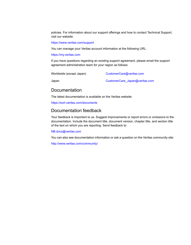policies. For information about our support offerings and how to contact Technical Support, visit our website:

#### <https://www.veritas.com/support>

You can manage your Veritas account information at the following URL:

#### <https://my.veritas.com>

If you have questions regarding an existing support agreement, please email the support agreement administration team for your region as follows:

Worldwide (except Japan) [CustomerCare@veritas.com](mailto:CustomerCare@veritas.com)

Japan CustomerCare Japan@veritas.com

#### Documentation

The latest documentation is available on the Veritas website:

<https://sort.veritas.com/documents>

#### Documentation feedback

Your feedback is important to us. Suggest improvements or report errors or omissions to the documentation. Include the document title, document version, chapter title, and section title of the text on which you are reporting. Send feedback to:

#### [NB.docs@veritas.com](mailto:NB.docs@veritas.com)

You can also see documentation information or ask a question on the Veritas community site:

<http://www.veritas.com/community/>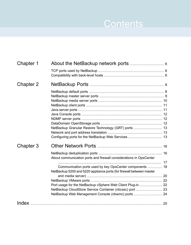# Contents Louis

| Chapter 1 |                                                                      |  |
|-----------|----------------------------------------------------------------------|--|
|           |                                                                      |  |
|           |                                                                      |  |
| Chapter 2 |                                                                      |  |
|           |                                                                      |  |
|           |                                                                      |  |
|           |                                                                      |  |
|           |                                                                      |  |
|           |                                                                      |  |
|           |                                                                      |  |
|           |                                                                      |  |
|           |                                                                      |  |
|           |                                                                      |  |
|           |                                                                      |  |
|           |                                                                      |  |
| Chapter 3 |                                                                      |  |
|           |                                                                      |  |
|           | About communication ports and firewall considerations in OpsCenter   |  |
|           |                                                                      |  |
|           | Communication ports used by key OpsCenter components  18             |  |
|           | NetBackup 5200 and 5220 appliance ports (for firewall between master |  |
|           |                                                                      |  |
|           |                                                                      |  |
|           | Port usage for the NetBackup vSphere Web Client Plug-in  22          |  |
|           | NetBackup CloudStore Service Container (nbcssc) port  23             |  |
|           | NetBackup Web Management Console (nbwmc) ports  24                   |  |
| Index     |                                                                      |  |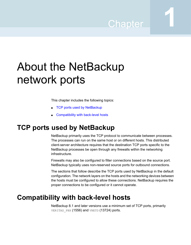# Chapter

# <span id="page-5-0"></span>About the NetBackup network ports

This chapter includes the following topics:

- <span id="page-5-1"></span>■ TCP ports used by [NetBackup](#page-5-1)
- [Compatibility](#page-5-2) with back-level hosts

## <span id="page-5-3"></span>**TCP ports used by NetBackup**

NetBackup primarily uses the TCP protocol to communicate between processes. The processes can run on the same host or on different hosts. This distributed client-server architecture requires that the destination TCP ports specific to the NetBackup processes be open through any firewalls within the networking infrastructure.

Firewalls may also be configured to filter connections based on the source port. NetBackup typically uses non-reserved source ports for outbound connections.

<span id="page-5-2"></span>The sections that follow describe the TCP ports used by NetBackup in the default configuration. The network layers on the hosts and the networking devices between the hosts must be configured to allow these connections. NetBackup requires the proper connections to be configured or it cannot operate.

## <span id="page-5-4"></span>**Compatibility with back-level hosts**

NetBackup 8.1 and later versions use a minimum set of TCP ports, primarily VERITAS PBX (1556) and VNETD (13724) ports.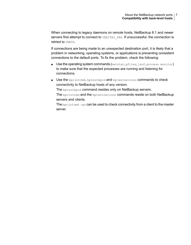When connecting to legacy daemons on remote hosts, NetBackup 8.1 and newer servers first attempt to connect to VERITAS PBX. If unsuccessful, the connection is retried to VNETD.

If connections are being made to an unexpected destination port, it is likely that a problem in networking, operating systems, or applications is preventing consistent connections to the default ports. To fix the problem, check the following:

- Use the operating system commands (netstat, pfiles, lsof, process monitor) to make sure that the expected processes are running and listening for connections.
- Use the bpclntcmd, bptestbpcd and bptestnetconn commands to check connectivity to NetBackup hosts of any version.

The bptestbpcd command resides only on NetBackup servers.

The bpclntcmd and the bptestnetconn commands reside on both NetBackup servers and clients.

The bpclntcmd -pn can be used to check connectivity from a client to the master server.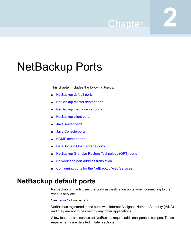# Chapter

# <span id="page-7-0"></span>NetBackup Ports

This chapter includes the following topics:

- **[NetBackup](#page-7-1) default ports**
- [NetBackup](#page-8-0) master server ports
- [NetBackup](#page-9-0) media server ports
- [NetBackup](#page-10-0) client ports
- Java [server](#page-10-1) ports
- Java [Console](#page-11-0) ports
- [NDMP](#page-11-1) server ports
- DataDomain [OpenStorage](#page-11-2) ports
- <span id="page-7-1"></span>NetBackup Granular Restore [Technology](#page-12-0) (GRT) ports
- Network and port address [translation](#page-12-1)
- [Configuring](#page-12-2) ports for the NetBackup Web Services

## <span id="page-7-2"></span>**NetBackup default ports**

NetBackup primarily uses the ports as destination ports when connecting to the various services.

See [Table](#page-8-1) 2-1 on page 9.

Veritas has registered these ports with Internet Assigned Number Authority (IANA) and they are not to be used by any other applications.

A few features and services of NetBackup require additional ports to be open. Those requirements are detailed in later sections.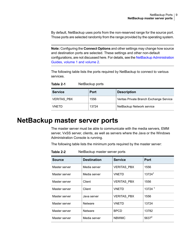By default, NetBackup uses ports from the non-reserved range for the source port. Those ports are selected randomly from the range provided by the operating system.

**Note:** Configuring the **Connect Options** and other settings may change how source and destination ports are selected. These settings and other non-default configurations, are not discussed here. For details, see the NetBackup [Administration](http://www.veritas.com/docs/DOC5332) [Guides,](http://www.veritas.com/docs/DOC5332) volume 1 and volume 2.

<span id="page-8-1"></span>The following table lists the ports required by NetBackup to connect to various services.

**Table 2-1** NetBackup ports

<span id="page-8-0"></span>

| <b>Service</b>     | Port  | <b>Description</b>                      |
|--------------------|-------|-----------------------------------------|
| <b>VERITAS PBX</b> | 1556  | Veritas Private Branch Exchange Service |
| VNFTD              | 13724 | NetBackup Network service               |

### <span id="page-8-2"></span>**NetBackup master server ports**

The master server must be able to communicate with the media servers, EMM server, VxSS server, clients, as well as servers where the Java or the Windows Administration Console is running.

The following table lists the minimum ports required by the master server:

| <b>Source</b> | <b>Destination</b> | <b>Service</b>     | Port     |
|---------------|--------------------|--------------------|----------|
| Master server | Media server       | <b>VERITAS_PBX</b> | 1556     |
| Master server | Media server       | <b>VNETD</b>       | 137241   |
| Master server | Client             | <b>VERITAS PBX</b> | 1556     |
| Master server | Client             | <b>VNETD</b>       | 13724 1  |
| Master server | Java server        | <b>VERITAS PBX</b> | 1556     |
| Master server | Netware            | <b>VNFTD</b>       | 13724    |
| Master server | Netware            | <b>BPCD</b>        | 13782    |
| Master server | Media server       | <b>NBWMC</b>       | $5637^2$ |

**Table 2-2** NetBackup master server ports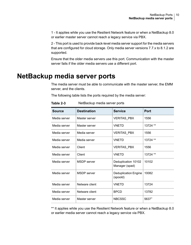1 - It applies while you use the Resilient Network feature or when a NetBackup 8.0 or earlier master server cannot reach a legacy service via PBX.

2 - This port is used to provide back-level media server support for the media servers that are configured for cloud storage. Only media server versions 7.7.x to 8.1.2 are supported.

<span id="page-9-0"></span>Ensure that the older media servers use this port. Communication with the master server fails if the older media servers use a different port.

## <span id="page-9-1"></span>**NetBackup media server ports**

The media server must be able to communicate with the master server, the EMM server, and the clients.

The following table lists the ports required by the media server:

| <b>Source</b> | <b>Destination</b> | <b>Service</b>                          | <b>Port</b> |
|---------------|--------------------|-----------------------------------------|-------------|
| Media server  | Master server      | <b>VERITAS PBX</b>                      | 1556        |
| Media server  | Master server      | <b>VNETD</b>                            | 13724 **    |
| Media server  | Media server       | <b>VERITAS_PBX</b>                      | 1556        |
| Media server  | Media server       | <b>VNETD</b>                            | 13724 **    |
| Media server  | Client             | <b>VERITAS_PBX</b>                      | 1556        |
| Media server  | Client             | <b>VNETD</b>                            | 13724 **    |
| Media server  | <b>MSDP</b> server | Deduplication 10102<br>Manager (spad)   | 10102       |
| Media server  | <b>MSDP</b> server | <b>Deduplication Engine</b><br>(spoold) | 10082       |
| Media server  | Netware client     | <b>VNETD</b>                            | 13724       |
| Media server  | Netware client     | <b>BPCD</b>                             | 13782       |
| Media server  | Master server      | <b>NBCSSC</b>                           | $5637+$     |

**Table 2-3** NetBackup media server ports

\*\* It applies while you use the Resilient Network feature or when a NetBackup 8.0 or earlier media server cannot reach a legacy service via PBX.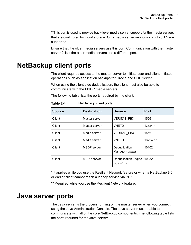<sup>+</sup> This port is used to provide back-level media server support for the media servers that are configured for cloud storage. Only media server versions 7.7.x to 8.1.2 are supported.

<span id="page-10-0"></span>Ensure that the older media servers use this port. Communication with the master server fails if the older media servers use a different port.

## <span id="page-10-2"></span>**NetBackup client ports**

The client requires access to the master server to initiate user and client-initiated operations such as application backups for Oracle and SQL Server.

When using the client-side deduplication, the client must also be able to communicate with the MSDP media servers.

The following table lists the ports required by the client:

| <b>Source</b> | <b>Destination</b> | <b>Service</b>                          | Port        |
|---------------|--------------------|-----------------------------------------|-------------|
| Client        | Master server      | <b>VERITAS PBX</b>                      | 1556        |
| Client        | Master server      | <b>VNETD</b>                            | 13724 *     |
| Client        | Media server       | <b>VERITAS PBX</b>                      | 1556        |
| Client        | Media server       | <b>VNETD</b>                            | $13724$ * * |
| Client        | <b>MSDP</b> server | Deduplication<br>Manager (spad)         | 10102       |
| Client        | <b>MSDP</b> server | <b>Deduplication Engine</b><br>(spoold) | 10082       |

**Table 2-4** NetBackup client ports

<span id="page-10-1"></span>\* It applies while you use the Resilient Network feature or when a NetBackup 8.0 or earlier client cannot reach a legacy service via PBX.

\*\* Required while you use the Resilient Network feature.

### <span id="page-10-3"></span>**Java server ports**

The Java server is the process running on the master server when you connect using the Java Administration Console. The Java server must be able to communicate with all of the core NetBackup components. The following table lists the ports required for the Java server: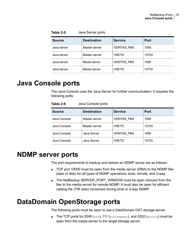**Table 2-5** Java Server ports

| <b>Source</b> | <b>Destination</b> | <b>Service</b>     | Port  |
|---------------|--------------------|--------------------|-------|
| Java server   | Master server      | <b>VERITAS PBX</b> | 1556  |
| Java server   | Master server      | <b>VNETD</b>       | 13724 |
| Java server   | Media server       | <b>VERITAS PBX</b> | 1556  |
| Java server   | Media server       | VNFTD              | 13724 |

## <span id="page-11-4"></span>**Java Console ports**

<span id="page-11-0"></span>The Java Console uses the Java Server for further communication; it requires the following ports:

<span id="page-11-1"></span>

| <b>Source</b> | <b>Destination</b> | <b>Service</b>     | <b>Port</b> |
|---------------|--------------------|--------------------|-------------|
| Java Console  | Master server      | <b>VERITAS PBX</b> | 1556        |
| Java Console  | Master server      | <b>VNETD</b>       | 13724       |
| Java Console  | Java Server        | <b>VERITAS PBX</b> | 1556        |
| Java Console  | Java Server        | <b>VNETD</b>       | 13724       |

**Table 2-6** Java Console ports

### <span id="page-11-5"></span>**NDMP server ports**

The port requirements to backup and restore an NDMP server are as follows:

- <span id="page-11-2"></span>■ TCP port 10000 must be open from the media server (DMA) to the NDMP filer (tape or disk) for all types of NDMP operations; local, remote, and 3-way.
- The NetBackup SERVER\_PORT\_WINDOW must be open inbound from the filer to the media server for remote NDMP. It must also be open for efficient catalog file (TIR data) movement during local or 3-way NDMP.

### <span id="page-11-3"></span>**DataDomain OpenStorage ports**

The following ports must be open to use a DataDomain OST storage server.

**The TCP ports for 2049** ( $nfs$ ), 111 (portmapper), and 2052 (mountd) must be open from the media server to the target storage server.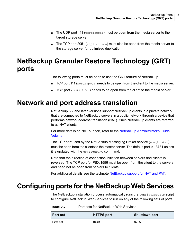- The UDP port 111 (portmapper) must be open from the media server to the target storage server.
- <span id="page-12-0"></span>**The TCP port 2051** (replication) must also be open from the media server to the storage server for optimized duplication.

# <span id="page-12-4"></span>**NetBackup Granular Restore Technology (GRT) ports**

The following ports must be open to use the GRT feature of NetBackup.

- <span id="page-12-1"></span>**• TCP port 111** (portmapper) needs to be open from the client to the media server.
- **TCP port 7394** ( $nbf$ sd) needs to be open from the client to the media server.

### <span id="page-12-5"></span>**Network and port address translation**

NetBackup 8.2 and later versions support NetBackup clients in a private network that are connected to NetBackup servers in a public network through a device that performs network address translation (NAT). Such NetBackup clients are referred to as NAT clients.

For more details on NAT support, refer to the NetBackup [Administrator's](http://www.veritas.com/docs/DOC5332) Guide [Volume](http://www.veritas.com/docs/DOC5332) I.

The TCP port used by the NetBackup Messaging Broker service  $(nbmqbroker)$ must be open from the clients to the master server. The default port is 13781 unless it is updated with the configureMQ command.

<span id="page-12-2"></span>Note that the direction of connection initiation between servers and clients is reversed. The TCP port for PBX/1556 must be open from the client to the servers and need not be open from servers to clients.

For additional details see the technote [NetBackup](https://www.veritas.com/content/support/en_US/article.100004694.htm) support for NAT and PAT.

### **Configuring ports forthe NetBackup Web Services**

<span id="page-12-3"></span>The NetBackup installation process automatically runs the configurePorts script to configure NetBackup Web Services to run on any of the following sets of ports.

| <b>Port set</b> | <b>HTTPS port</b> | Shutdown port |
|-----------------|-------------------|---------------|
| First set       | 8443              | 8205          |

**Table 2-7** Port sets for NetBackup Web Services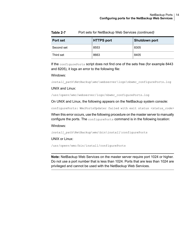| <b>Port set</b> | <b>HTTPS</b> port | <b>Shutdown port</b> |
|-----------------|-------------------|----------------------|
| Second set      | 8553              | 8305                 |
| Third set       | 8663              | 8405                 |

**Table 2-7** Port sets for NetBackup Web Services *(continued)*

If the configure Ports script does not find one of the sets free (for example 8443 and 8205), it logs an error to the following file:

#### Windows:

*install\_path*\NetBackup\wmc\webserver\logs\nbwmc\_configurePorts.log

#### UNIX and Linux:

/usr/openv/wmc/webserver/logs/nbwmc\_configurePorts.log

On UNIX and Linux, the following appears on the NetBackup system console:

configurePorts: WmcPortsUpdater failed with exit status <status code>

When this error occurs, use the following procedure on the master server to manually configure the ports. The configurePorts command is in the following location:

Windows:

*install\_path*\NetBackup\wmc\bin\install\configurePorts

#### UNIX or Linux:

/usr/openv/wmc/bin/install/configurePorts

**Note:** NetBackup Web Services on the master server require port 1024 or higher. Do not use a port number that is less than 1024. Ports that are less than 1024 are privileged and cannot be used with the NetBackup Web Services.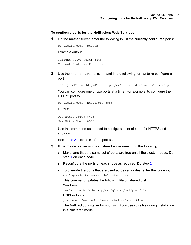#### <span id="page-14-0"></span>**To configure ports for the NetBackup Web Services**

**1** On the master server, enter the following to list the currently configured ports:

```
configurePorts -status
```
#### Example output:

Current Https Port: 8443 Current Shutdown Port: 8205

<span id="page-14-1"></span>**2** Use the configurePorts command in the following format to re-configure a port:

configurePorts -httpsPort *https\_port* | -shutdownPort *shutdown\_port*

You can configure one or two ports at a time. For example, to configure the HTTPS port to 8553:

configurePorts -httpsPort 8553

Output:

Old Https Port: 8443 New Https Port: 8553

Use this command as needed to configure a set of ports for HTTPS and shutdown.

See [Table](#page-12-3) 2-7 for a list of the port sets.

- **3** If the master server is in a clustered environment, do the following:
	- Make sure that the same set of ports are free on all the cluster nodes: Do step [1](#page-14-0) on each node.
	- Reconfigure the ports on each node as required: Do step [2](#page-14-1).
	- To override the ports that are used across all nodes, enter the following: configurePorts –overrideCluster true

This command updates the following file on shared disk: Windows:

*install\_path*/NetBackup/var/global/wsl/portfile UNIX or Linux:

/usr/openv/netbackup/var/global/wsl/portfile

The NetBackup installer for Web Services uses this file during installation in a clustered mode.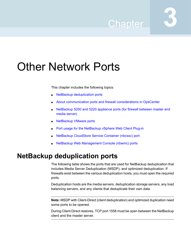# Chapter

# <span id="page-15-0"></span>Other Network Ports

This chapter includes the following topics:

- **NetBackup [deduplication](#page-15-1) ports**
- About [communication](#page-16-0) ports and firewall considerations in OpsCenter
- [NetBackup](#page-19-0) 5200 and 5220 appliance ports (for firewall between master and media [server\)](#page-19-0)
- **[NetBackup](#page-21-0) VMware ports**
- Port usage for the [NetBackup](#page-21-1) vSphere Web Client Plug-in
- <span id="page-15-1"></span>NetBackup [CloudStore](#page-22-0) Service Container (nbcssc) port
- NetBackup Web [Management](#page-23-0) Console (nbwmc) ports

## <span id="page-15-2"></span>**NetBackup deduplication ports**

The following table shows the ports that are used for NetBackup deduplication that includes Media Server Deduplication (MSDP), and optimized deduplication. If firewalls exist between the various deduplication hosts, you must open the required ports.

Deduplication hosts are the media servers, deduplication storage servers, any load balancing servers, and any clients that deduplicate their own data.

**Note:** MSDP with Client-Direct (client deduplication) and optimized duplication need some ports to be opened.

During Client Direct restores, TCP port 1556 must be open between the NetBackup client and the master server.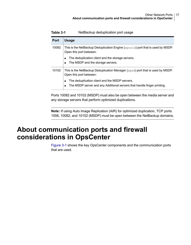| <b>Port</b> | <b>Usage</b>                                                                                                                                                  |
|-------------|---------------------------------------------------------------------------------------------------------------------------------------------------------------|
| 10082       | This is the NetBackup Deduplication Engine ( $\mathsf{spoold}$ ) port that is used by MSDP.<br>Open this port between:                                        |
|             | The deduplication client and the storage servers.<br>$\blacksquare$<br>The MSDP and the storage servers.<br>$\blacksquare$                                    |
| 10102       | This is the NetBackup Deduplication Manager $(s_{pad})$ port that is used by MSDP.<br>Open this port between:                                                 |
|             | The deduplication client and the MSDP servers.<br>$\blacksquare$<br>The MSDP server and any Additional servers that handle finger printing.<br>$\blacksquare$ |

**Table 3-1** NetBackup deduplication port usage

Ports 10082 and 10102 (MSDP) must also be open between the media server and any storage servers that perform optimized duplications.

<span id="page-16-0"></span>**Note:** If using Auto Image Replication (AIR) for optimized duplication, TCP ports 1556, 10082, and 10102 (MSDP) must be open between the NetBackup domains.

# <span id="page-16-1"></span>**About communication ports and firewall considerations in OpsCenter**

[Figure](#page-17-1) 3-1 shows the key OpsCenter components and the communication ports that are used.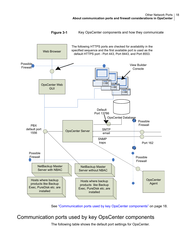<span id="page-17-1"></span>

**Figure 3-1** Key OpsCenter components and how they communicate

<span id="page-17-0"></span>See ["Communication](#page-17-0) ports used by key OpsCenter components" on page 18.

### Communication ports used by key OpsCenter components

The following table shows the default port settings for OpsCenter.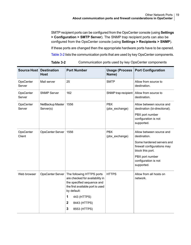SMTP recipient ports can be configured from the OpsCenter console (using **Settings > Configuration > SMTP Server**). The SNMP trap recipient ports can also be configured from the OpsCenter console (using **Settings > Recipients > SNMP**).

If these ports are changed then the appropriate hardware ports have to be opened.

[Table](#page-18-0) 3-2 lists the communication ports that are used by key OpsCenter components.

<span id="page-18-0"></span>

| Source Host         | <b>Destination</b><br><b>Host</b> | <b>Port Number</b>                                                                                                                                                                                                     | <b>Usage (Process</b><br>Name) | <b>Port Configuration</b>                                                                                                                                                         |
|---------------------|-----------------------------------|------------------------------------------------------------------------------------------------------------------------------------------------------------------------------------------------------------------------|--------------------------------|-----------------------------------------------------------------------------------------------------------------------------------------------------------------------------------|
| OpsCenter<br>Server | Mail server                       | 25                                                                                                                                                                                                                     | <b>SMTP</b>                    | Allow from source to<br>destination.                                                                                                                                              |
| OpsCenter<br>Server | <b>SNMP Server</b>                | 162                                                                                                                                                                                                                    | SNMP trap recipient            | Allow from source to<br>destination.                                                                                                                                              |
| OpsCenter<br>Server | NetBackup Master<br>Server(s)     | 1556                                                                                                                                                                                                                   | <b>PBX</b><br>(pbx_exchange)   | Allow between source and<br>destination (bi-directional).<br>PBX port number<br>configuration is not<br>supported.                                                                |
| OpsCenter<br>Client | OpsCenter Server                  | 1556                                                                                                                                                                                                                   | <b>PBX</b><br>(pbx exchange)   | Allow between source and<br>destination.<br>Some hardened servers and<br>firewall configurations may<br>block this port.<br>PBX port number<br>configuration is not<br>supported. |
| Web browser         | OpsCenter Server                  | The following HTTPS ports<br>are checked for availability in<br>the specified sequence and<br>the first available port is used<br>by default:<br>1<br>443 (HTTPS)<br>$\mathbf{2}$<br>8443 (HTTPS)<br>3<br>8553 (HTTPS) | <b>HTTPS</b>                   | Allow from all hosts on<br>network.                                                                                                                                               |

#### **Table 3-2** Communication ports used by key OpsCenter components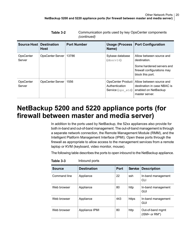| Source Host         | <b>Destination</b><br>Host | <b>Port Number</b> | Usage (Process<br>Name)                                         | <b>Port Configuration</b>                                                                         |
|---------------------|----------------------------|--------------------|-----------------------------------------------------------------|---------------------------------------------------------------------------------------------------|
| OpsCenter<br>Server | OpsCenter Server           | 13786              | Sybase database<br>(dbsrv16)                                    | Allow between source and<br>destination.                                                          |
|                     |                            |                    |                                                                 | Some hardened servers and<br>firewall configurations may<br>block this port.                      |
| OpsCenter<br>Server | OpsCenter Server           | 1556               | <b>OpsCenter Product</b><br>Authentication<br>Service (ops atd) | Allow between source and<br>destination in case NBAC is<br>enabled on NetBackup<br>master server. |

**Table 3-2** Communication ports used by key OpsCenter components *(continued)*

# <span id="page-19-1"></span>**NetBackup 5200 and 5220 appliance ports (for firewall between master and media server)**

<span id="page-19-0"></span>In addition to the ports used by NetBackup, the 52xx appliances also provide for both in-band and out-of-band management. The out-of-band management is through a separate network connection, the Remote Management Module (RMM), and the Intelligent Platform Management Interface (IPMI). Open these ports through the firewall as appropriate to allow access to the management services from a remote laptop or KVM (keyboard, video monitor, mouse).

The following table describes the ports to open inbound to the NetBackup appliance.

| <b>Source</b> | <b>Destination</b> | <b>Port</b> | <b>Service</b> | <b>Description</b>                      |
|---------------|--------------------|-------------|----------------|-----------------------------------------|
| Command line  | Appliance          | 22          | ssh            | In-band management<br>CLI               |
| Web browser   | Appliance          | 80          | http           | In-band management<br>GUI               |
| Web browser   | Appliance          | 443         | https          | In-band management<br>GUI               |
| Web browser   | Appliance IPMI     | 80          | http           | Out-of-band mgmt<br>$(ISM+$ or $RM^*$ ) |

**Table 3-3** Inbound ports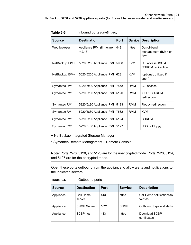| <b>Source</b>  | <b>Destination</b>                 | Port | <b>Service</b> | <b>Description</b>                            |
|----------------|------------------------------------|------|----------------|-----------------------------------------------|
| Web browser    | Appliance IPMI (firmware<br>> 2.13 | 443  | https          | Out-of-band<br>management (ISM+ or<br>$RM^*$  |
| NetBackup ISM+ | 5020/5200 Appliance IPMI           | 5900 | <b>KVM</b>     | CLI access, ISO &<br><b>CDROM</b> redirection |
| NetBackup ISM+ | 5020/5200 Appliance IPMI           | 623  | <b>KVM</b>     | (optional, utilized if<br>open)               |
| Symantec RM*   | 5220/5x30 Appliance IPMI           | 7578 | <b>RMM</b>     | CLI access                                    |
| Symantec RM*   | 5220/5x30 Appliance IPMI           | 5120 | RMM            | <b>ISO &amp; CD-ROM</b><br>redirection        |
| Symantec RM*   | 5220/5x30 Appliance IPMI           | 5123 | <b>RMM</b>     | Floppy redirection                            |
| Symantec RM*   | 5220/5x30 Appliance IPMI           | 7582 | <b>RMM</b>     | <b>KVM</b>                                    |
| Symantec RM*   | 5220/5x30 Appliance IPMI           | 5124 |                | <b>CDROM</b>                                  |
| Symantec RM*   | 5220/5x30 Appliance IPMI           | 5127 |                | USB or Floppy                                 |

**Table 3-3** Inbound ports *(continued)*

+ NetBackup Integrated Storage Manager

\* Symantec Remote Management – Remote Console.

**Note:** Ports 7578, 5120, and 5123 are for the unencrypted mode. Ports 7528, 5124, and 5127 are for the encrypted mode.

Open these ports outbound from the appliance to allow alerts and notifications to the indicated servers.

**Table 3-4** Outbound ports

| Source    | <b>Destination</b>  | Port   | <b>Service</b> | <b>Description</b>                    |  |
|-----------|---------------------|--------|----------------|---------------------------------------|--|
| Appliance | Call Home<br>server | 443    | https          | Call Home notifications to<br>Veritas |  |
| Appliance | <b>SNMP Server</b>  | $162*$ | <b>SNMP</b>    | Outbound traps and alerts             |  |
| Appliance | SCSP host           | 443    | https          | Download SCSP<br>certificates         |  |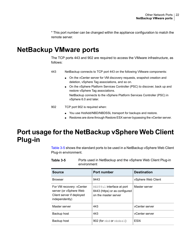<span id="page-21-0"></span>\* This port number can be changed within the appliance configuration to match the remote server.

## <span id="page-21-3"></span>**NetBackup VMware ports**

The TCP ports 443 and 902 are required to access the VMware infrastructure, as follows:

- NetBackup connects to TCP port 443 on the following VMware components: 443
	- On the vCenter server for VM discovery requests, snapshot creation and deletion, vSphere Tag associations, and so on.
	- On the vSphere Platform Services Controller (PSC) to discover, back up and restore vSphere Tag associations. NetBackup connects to the vSphere Platform Services Controller (PSC) in vSphere 6.0 and later.
- <span id="page-21-1"></span>TCP port 902 is required when: 902
	- You use HotAdd/NBD/NBDSSL transport for backups and restore.
	- Restores are done through Restore ESX server bypassing the vCenter server.

# **Port usage for the NetBackup vSphere Web Client Plug-in**

<span id="page-21-4"></span><span id="page-21-2"></span>[Table](#page-21-2) 3-5 shows the standard ports to be used in a NetBackup vSphere Web Client Plug-in environment.

| <b>Source</b>                                                                                     | Port number                                                                        | <b>Destination</b> |  |  |  |
|---------------------------------------------------------------------------------------------------|------------------------------------------------------------------------------------|--------------------|--|--|--|
| <b>Browser</b>                                                                                    | 9443                                                                               | vSphere Web Client |  |  |  |
| For VM recovery: vCenter<br>server (or vSphere Web<br>Client server if deployed<br>independently) | RESTEUL interface at port<br>8443 (https) or as configured<br>on the master server | Master server      |  |  |  |
| Master server                                                                                     | 443                                                                                | vCenter server     |  |  |  |
| Backup host                                                                                       | 443                                                                                | vCenter server     |  |  |  |
| Backup host                                                                                       | 902 (for nbd or nbdssl)                                                            | ESXi               |  |  |  |

**Table 3-5** Ports used in NetBackup and the vSphere Web Client Plug-in environment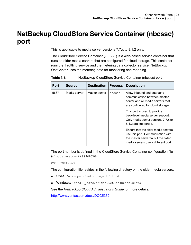# **NetBackup CloudStore Service Container(nbcssc) port**

<span id="page-22-1"></span><span id="page-22-0"></span>This is applicable to media server versions 7.7.x to 8.1.2 only.

The CloudStore Service Container (nbcssc) is a web-based service container that runs on older media servers that are configured for cloud storage. This container runs the throttling service and the metering data collector service. NetBackup OpsCenter uses the metering data for monitoring and reporting.

| Port | <b>Source</b> | <b>Destination</b> | <b>Process</b> | <b>Description</b>                                                                                                                                                                                                                                                                                                                                                                                                                 |
|------|---------------|--------------------|----------------|------------------------------------------------------------------------------------------------------------------------------------------------------------------------------------------------------------------------------------------------------------------------------------------------------------------------------------------------------------------------------------------------------------------------------------|
| 5637 | Media server  | Master server      | nbcssc         | Allow inbound and outbound<br>communication between master<br>server and all media servers that<br>are configured for cloud storage.<br>This port is used to provide<br>back-level media server support.<br>Only media server versions 7.7.x to<br>8.1.2 are supported.<br>Ensure that the older media servers<br>use this port. Communication with<br>the master server fails if the older<br>media servers use a different port. |

**Table 3-6** NetBackup CloudStore Service Container (nbcssc) port

The port number is defined in the CloudStore Service Container configuration file (cloudstore.conf) as follows:

CSSC\_PORT=5637

The configuration file resides in the following directory on the older media servers:

- UNIX: /usr/openv/netbackup/db/cloud
- Windows: *install\_path*Veritas\NetBackup\db\cloud

See the *NetBackup Cloud Administrator's Guide* for more details.

<http://www.veritas.com/docs/DOC5332>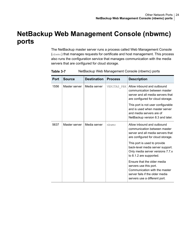# <span id="page-23-1"></span>**NetBackup Web Management Console (nbwmc) ports**

<span id="page-23-0"></span>The NetBackup master server runs a process called Web Management Console (nbwmc) that manages requests for certificate and host management. This process also runs the configuration service that manages communication with the media servers that are configured for cloud storage.

| Port | Source        | <b>Destination</b> | <b>Process</b> | <b>Description</b>                                                                                                                                         |
|------|---------------|--------------------|----------------|------------------------------------------------------------------------------------------------------------------------------------------------------------|
| 1556 | Master server | Media server       | VERITAS PBX    | Allow inbound and outbound<br>communication between master<br>server and all media servers that<br>are configured for cloud storage.                       |
|      |               |                    |                | This port is not user configurable<br>and is used when master server<br>and media servers are of<br>NetBackup version 8.3 and later.                       |
| 5637 | Master server | Media server       | nbwmc          | Allow inbound and outbound<br>communication between master<br>server and all media servers that<br>are configured for cloud storage.                       |
|      |               |                    |                | This port is used to provide<br>back-level media server support.<br>Only media server versions 7.7.x<br>to 8.1.2 are supported.                            |
|      |               |                    |                | Ensure that the older media<br>servers use this port.<br>Communication with the master<br>server fails if the older media<br>servers use a different port. |

**Table 3-7** NetBackup Web Management Console (nbwmc) ports